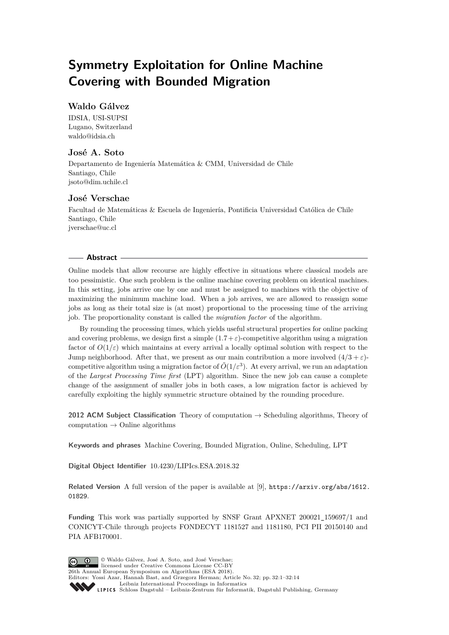# **Symmetry Exploitation for Online Machine Covering with Bounded Migration**

## **Waldo Gálvez**

IDSIA, USI-SUPSI Lugano, Switzerland [waldo@idsia.ch](mailto:waldo@idsia.ch)

## **José A. Soto**

Departamento de Ingeniería Matemática & CMM, Universidad de Chile Santiago, Chile [jsoto@dim.uchile.cl](mailto:jsoto@dim.uchile.cl)

## **José Verschae**

Facultad de Matemáticas & Escuela de Ingeniería, Pontificia Universidad Católica de Chile Santiago, Chile [jverschae@uc.cl](mailto:jverschae@uc.cl)

### **Abstract**

Online models that allow recourse are highly effective in situations where classical models are too pessimistic. One such problem is the online machine covering problem on identical machines. In this setting, jobs arrive one by one and must be assigned to machines with the objective of maximizing the minimum machine load. When a job arrives, we are allowed to reassign some jobs as long as their total size is (at most) proportional to the processing time of the arriving job. The proportionality constant is called the *migration factor* of the algorithm.

By rounding the processing times, which yields useful structural properties for online packing and covering problems, we design first a simple  $(1.7 + \varepsilon)$ -competitive algorithm using a migration factor of  $O(1/\varepsilon)$  which maintains at every arrival a locally optimal solution with respect to the Jump neighborhood. After that, we present as our main contribution a more involved  $(4/3 + \varepsilon)$ competitive algorithm using a migration factor of  $\tilde{O}(1/\varepsilon^3)$ . At every arrival, we run an adaptation of the *Largest Processing Time first* (LPT) algorithm. Since the new job can cause a complete change of the assignment of smaller jobs in both cases, a low migration factor is achieved by carefully exploiting the highly symmetric structure obtained by the rounding procedure.

**2012 ACM Subject Classification** Theory of computation → Scheduling algorithms, Theory of  $computation \rightarrow Online algorithms$ 

**Keywords and phrases** Machine Covering, Bounded Migration, Online, Scheduling, LPT

**Digital Object Identifier** [10.4230/LIPIcs.ESA.2018.32](http://dx.doi.org/10.4230/LIPIcs.ESA.2018.32)

**Related Version** A full version of the paper is available at [\[9\]](#page-12-0), [https://arxiv.org/abs/1612.](https://arxiv.org/abs/1612.01829) [01829](https://arxiv.org/abs/1612.01829).

**Funding** This work was partially supported by SNSF Grant APXNET 200021\_159697/1 and CONICYT-Chile through projects FONDECYT 1181527 and 1181180, PCI PII 20150140 and PIA AFB170001.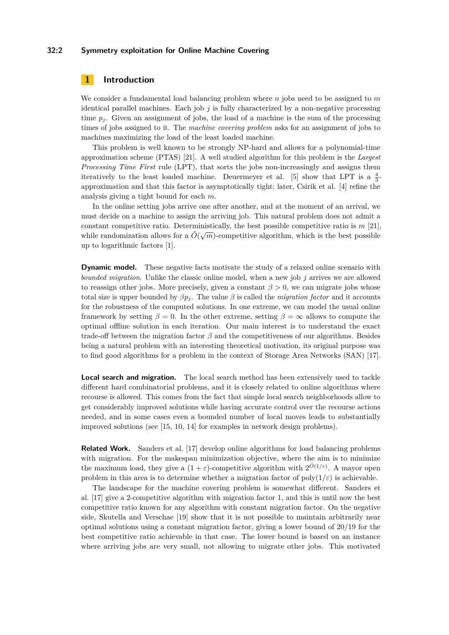## **32:2 Symmetry exploitation for Online Machine Covering**

## **1 Introduction**

We consider a fundamental load balancing problem where *n* jobs need to be assigned to *m* identical parallel machines. Each job  $j$  is fully characterized by a non-negative processing time  $p_i$ . Given an assignment of jobs, the load of a machine is the sum of the processing times of jobs assigned to it. The *machine covering problem* asks for an assignment of jobs to machines maximizing the load of the least loaded machine.

This problem is well known to be strongly NP-hard and allows for a polynomial-time approximation scheme (PTAS) [\[21\]](#page-13-1). A well studied algorithm for this problem is the *Largest Processing Time First* rule (LPT), that sorts the jobs non-increasingly and assigns them iteratively to the least loaded machine. Deuermeyer et al. [\[5\]](#page-12-1) show that LPT is a  $\frac{4}{3}$ approximation and that this factor is asymptotically tight; later, Csirik et al. [\[4\]](#page-12-2) refine the analysis giving a tight bound for each *m*.

In the online setting jobs arrive one after another, and at the moment of an arrival, we must decide on a machine to assign the arriving job. This natural problem does not admit a constant competitive ratio. Deterministically, the best possible competitive ratio is *m* [\[21\]](#page-13-1), while randomization allows for a  $\tilde{O}(\sqrt{m})$ -competitive algorithm, which is the best possible values of  $\tilde{O}(\sqrt{m})$ -competitive algorithm, which is the best possible up to logarithmic factors [\[1\]](#page-12-3).

**Dynamic model.** These negative facts motivate the study of a relaxed online scenario with *bounded migration*. Unlike the classic online model, when a new job *j* arrives we are allowed to reassign other jobs. More precisely, given a constant  $\beta > 0$ , we can migrate jobs whose total size is upper bounded by  $\beta p_j$ . The value  $\beta$  is called the *migration factor* and it accounts for the robustness of the computed solutions. In one extreme, we can model the usual online framework by setting  $\beta = 0$ . In the other extreme, setting  $\beta = \infty$  allows to compute the optimal offline solution in each iteration. Our main interest is to understand the exact trade-off between the migration factor *β* and the competitiveness of our algorithms. Besides being a natural problem with an interesting theoretical motivation, its original purpose was to find good algorithms for a problem in the context of Storage Area Networks (SAN) [\[17\]](#page-12-4).

**Local search and migration.** The local search method has been extensively used to tackle different hard combinatorial problems, and it is closely related to online algorithms where recourse is allowed. This comes from the fact that simple local search neighborhoods allow to get considerably improved solutions while having accurate control over the recourse actions needed, and in some cases even a bounded number of local moves leads to substantially improved solutions (see [\[15,](#page-12-5) [10,](#page-12-6) [14\]](#page-12-7) for examples in network design problems).

**Related Work.** Sanders et al. [\[17\]](#page-12-4) develop online algorithms for load balancing problems with migration. For the makespan minimization objective, where the aim is to minimize the maximum load, they give a  $(1 + \varepsilon)$ -competitive algorithm with  $2^{\tilde{O}(1/\varepsilon)}$ . A mayor open problem in this area is to determine whether a migration factor of  $poly(1/\varepsilon)$  is achievable.

The landscape for the machine covering problem is somewhat different. Sanders et al. [\[17\]](#page-12-4) give a 2-competitive algorithm with migration factor 1, and this is until now the best competitive ratio known for any algorithm with constant migration factor. On the negative side, Skutella and Verschae [\[19\]](#page-12-8) show that it is not possible to maintain arbitrarily near optimal solutions using a constant migration factor, giving a lower bound of 20*/*19 for the best competitive ratio achievable in that case. The lower bound is based on an instance where arriving jobs are very small, not allowing to migrate other jobs. This motivated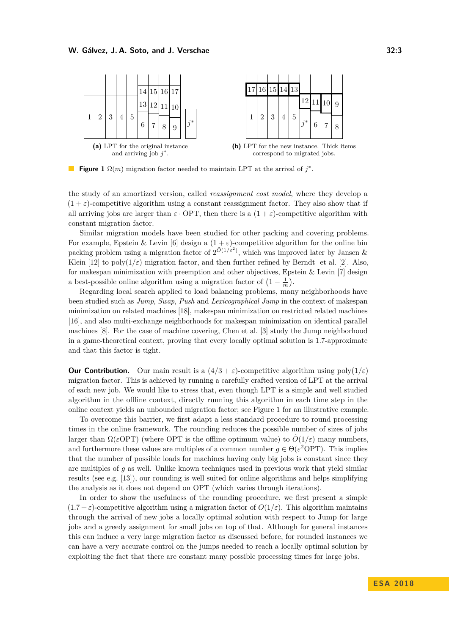#### **W. Gálvez, J. A. Soto, and J. Verschae 32:3**

<span id="page-2-0"></span>

**Figure 1**  $\Omega(m)$  migration factor needed to maintain LPT at the arrival of  $j^*$ .

the study of an amortized version, called *reassignment cost model*, where they develop a  $(1 + \varepsilon)$ -competitive algorithm using a constant reassignment factor. They also show that if all arriving jobs are larger than  $\varepsilon$  · OPT, then there is a  $(1 + \varepsilon)$ -competitive algorithm with constant migration factor.

Similar migration models have been studied for other packing and covering problems. For example, Epstein & Levin [\[6\]](#page-12-9) design a  $(1 + \varepsilon)$ -competitive algorithm for the online bin packing problem using a migration factor of  $2^{\tilde{O}(1/\varepsilon^2)}$ , which was improved later by Jansen & Klein [\[12\]](#page-12-10) to poly $(1/\varepsilon)$  migration factor, and then further refined by Berndt et al. [\[2\]](#page-12-11). Also, for makespan minimization with preemption and other objectives, Epstein & Levin [\[7\]](#page-12-12) design a best-possible online algorithm using a migration factor of  $(1 - \frac{1}{m})$ .

Regarding local search applied to load balancing problems, many neighborhoods have been studied such as *Jump*, *Swap*, *Push* and *Lexicographical Jump* in the context of makespan minimization on related machines [\[18\]](#page-12-13), makespan minimization on restricted related machines [\[16\]](#page-12-14), and also multi-exchange neighborhoods for makespan minimization on identical parallel machines [\[8\]](#page-12-15). For the case of machine covering, Chen et al. [\[3\]](#page-12-16) study the Jump neighborhood in a game-theoretical context, proving that every locally optimal solution is 1*.*7-approximate and that this factor is tight.

**Our Contribution.** Our main result is a  $(4/3 + \varepsilon)$ -competitive algorithm using poly $(1/\varepsilon)$ migration factor. This is achieved by running a carefully crafted version of LPT at the arrival of each new job. We would like to stress that, even though LPT is a simple and well studied algorithm in the offline context, directly running this algorithm in each time step in the online context yields an unbounded migration factor; see Figure [1](#page-2-0) for an illustrative example.

To overcome this barrier, we first adapt a less standard procedure to round processing times in the online framework. The rounding reduces the possible number of sizes of jobs larger than  $\Omega(\varepsilon$ OPT) (where OPT is the offline optimum value) to  $\tilde{O}(1/\varepsilon)$  many numbers, and furthermore these values are multiples of a common number  $g \in \Theta(\varepsilon^2 \text{OPT})$ . This implies that the number of possible loads for machines having only big jobs is constant since they are multiples of *g* as well. Unlike known techniques used in previous work that yield similar results (see e.g. [\[13\]](#page-12-17)), our rounding is well suited for online algorithms and helps simplifying the analysis as it does not depend on OPT (which varies through iterations).

In order to show the usefulness of the rounding procedure, we first present a simple  $(1.7 + \varepsilon)$ -competitive algorithm using a migration factor of  $O(1/\varepsilon)$ . This algorithm maintains through the arrival of new jobs a locally optimal solution with respect to Jump for large jobs and a greedy assignment for small jobs on top of that. Although for general instances this can induce a very large migration factor as discussed before, for rounded instances we can have a very accurate control on the jumps needed to reach a locally optimal solution by exploiting the fact that there are constant many possible processing times for large jobs.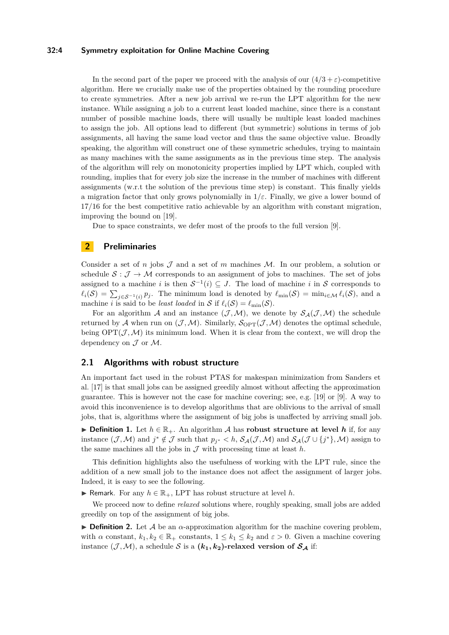## **32:4 Symmetry exploitation for Online Machine Covering**

In the second part of the paper we proceed with the analysis of our  $(4/3 + \varepsilon)$ -competitive algorithm. Here we crucially make use of the properties obtained by the rounding procedure to create symmetries. After a new job arrival we re-run the LPT algorithm for the new instance. While assigning a job to a current least loaded machine, since there is a constant number of possible machine loads, there will usually be multiple least loaded machines to assign the job. All options lead to different (but symmetric) solutions in terms of job assignments, all having the same load vector and thus the same objective value. Broadly speaking, the algorithm will construct one of these symmetric schedules, trying to maintain as many machines with the same assignments as in the previous time step. The analysis of the algorithm will rely on monotonicity properties implied by LPT which, coupled with rounding, implies that for every job size the increase in the number of machines with different assignments (w.r.t the solution of the previous time step) is constant. This finally yields a migration factor that only grows polynomially in  $1/\varepsilon$ . Finally, we give a lower bound of 17*/*16 for the best competitive ratio achievable by an algorithm with constant migration, improving the bound on [\[19\]](#page-12-8).

Due to space constraints, we defer most of the proofs to the full version [\[9\]](#page-12-0).

## **2 Preliminaries**

Consider a set of *n* jobs  $\mathcal{J}$  and a set of *m* machines  $\mathcal{M}$ . In our problem, a solution or schedule  $S : \mathcal{J} \to \mathcal{M}$  corresponds to an assignment of jobs to machines. The set of jobs assigned to a machine *i* is then  $S^{-1}(i) \subseteq J$ . The load of machine *i* in S corresponds to  $\ell_i(\mathcal{S}) = \sum_{j \in \mathcal{S}^{-1}(i)} p_j$ . The minimum load is denoted by  $\ell_{\min}(\mathcal{S}) = \min_{i \in \mathcal{M}} \ell_i(\mathcal{S})$ , and a machine *i* is said to be *least loaded* in S if  $\ell_i(\mathcal{S}) = \ell_{\min}(\mathcal{S})$ .

For an algorithm A and an instance  $(\mathcal{J},\mathcal{M})$ , we denote by  $\mathcal{S}_{\mathcal{A}}(\mathcal{J},\mathcal{M})$  the schedule returned by A when run on  $(\mathcal{J},\mathcal{M})$ . Similarly,  $\mathcal{S}_{\text{OPT}}(\mathcal{J},\mathcal{M})$  denotes the optimal schedule, being  $\text{OPT}(\mathcal{J},\mathcal{M})$  its minimum load. When it is clear from the context, we will drop the dependency on  $\mathcal J$  or  $\mathcal M$ .

## **2.1 Algorithms with robust structure**

An important fact used in the robust PTAS for makespan minimization from Sanders et al. [\[17\]](#page-12-4) is that small jobs can be assigned greedily almost without affecting the approximation guarantee. This is however not the case for machine covering; see, e.g. [\[19\]](#page-12-8) or [\[9\]](#page-12-0). A way to avoid this inconvenience is to develop algorithms that are oblivious to the arrival of small jobs, that is, algorithms where the assignment of big jobs is unaffected by arriving small job.

**► Definition 1.** Let  $h \in \mathbb{R}_+$ . An algorithm A has **robust structure at level** h if, for any instance  $(\mathcal{J}, \mathcal{M})$  and  $j^* \notin \mathcal{J}$  such that  $p_{j^*} < h$ ,  $\mathcal{S}_{\mathcal{A}}(\mathcal{J}, \mathcal{M})$  and  $\mathcal{S}_{\mathcal{A}}(\mathcal{J} \cup \{j^*\}, \mathcal{M})$  assign to the same machines all the jobs in  $\mathcal J$  with processing time at least  $h$ .

This definition highlights also the usefulness of working with the LPT rule, since the addition of a new small job to the instance does not affect the assignment of larger jobs. Indeed, it is easy to see the following.

**► Remark.** For any  $h \in \mathbb{R}_+$ , LPT has robust structure at level  $h$ .

We proceed now to define *relaxed* solutions where, roughly speaking, small jobs are added greedily on top of the assignment of big jobs.

**Definition 2.** Let A be an  $\alpha$ -approximation algorithm for the machine covering problem, with  $\alpha$  constant,  $k_1, k_2 \in \mathbb{R}_+$  constants,  $1 \leq k_1 \leq k_2$  and  $\varepsilon > 0$ . Given a machine covering instance  $(\mathcal{J}, \mathcal{M})$ , a schedule S is a  $(k_1, k_2)$ -relaxed version of  $S_A$  if: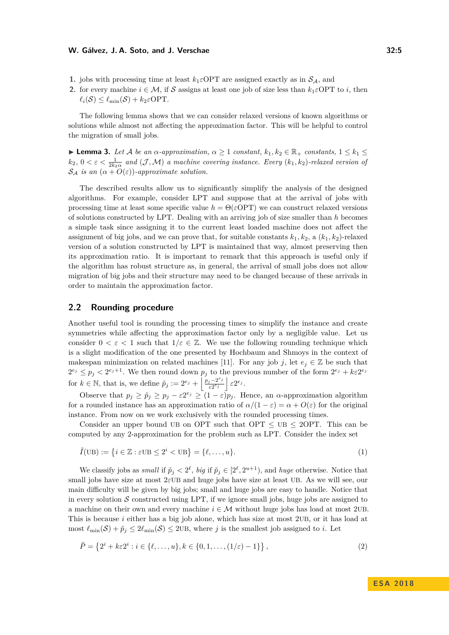#### **W. Gálvez, J. A. Soto, and J. Verschae 32:5**

- **1.** jobs with processing time at least  $k_1 \in \text{OPT}$  are assigned exactly as in  $S_A$ , and
- **2.** for every machine  $i \in \mathcal{M}$ , if S assigns at least one job of size less than  $k_1 \in \text{OPT}$  to *i*, then  $\ell_i(\mathcal{S}) \leq \ell_{\min}(\mathcal{S}) + k_2 \varepsilon \text{OPT}.$

The following lemma shows that we can consider relaxed versions of known algorithms or solutions while almost not affecting the approximation factor. This will be helpful to control the migration of small jobs.

<span id="page-4-3"></span> $\blacktriangleright$  **Lemma 3.** *Let A be an α-approximation, α* ≥ 1 *constant,*  $k_1, k_2 \in \mathbb{R}_+$  *constants,* 1 ≤  $k_1$  ≤  $k_2$ ,  $0 < \varepsilon < \frac{1}{2k_2\alpha}$  and  $(\mathcal{J}, \mathcal{M})$  a machine covering instance. Every  $(k_1, k_2)$ -relaxed version of  $\mathcal{S}_{\mathcal{A}}$  *is an*  $(\alpha + O(\varepsilon))$ *-approximate solution.* 

The described results allow us to significantly simplify the analysis of the designed algorithms. For example, consider LPT and suppose that at the arrival of jobs with processing time at least some specific value  $h = \Theta(\varepsilon \text{OPT})$  we can construct relaxed versions of solutions constructed by LPT. Dealing with an arriving job of size smaller than *h* becomes a simple task since assigning it to the current least loaded machine does not affect the assignment of big jobs, and we can prove that, for suitable constants  $k_1, k_2$ , a  $(k_1, k_2)$ -relaxed version of a solution constructed by LPT is maintained that way, almost preserving then its approximation ratio. It is important to remark that this approach is useful only if the algorithm has robust structure as, in general, the arrival of small jobs does not allow migration of big jobs and their structure may need to be changed because of these arrivals in order to maintain the approximation factor.

## <span id="page-4-0"></span>**2.2 Rounding procedure**

Another useful tool is rounding the processing times to simplify the instance and create symmetries while affecting the approximation factor only by a negligible value. Let us consider  $0 < \varepsilon < 1$  such that  $1/\varepsilon \in \mathbb{Z}$ . We use the following rounding technique which is a slight modification of the one presented by Hochbaum and Shmoys in the context of makespan minimization on related machines [\[11\]](#page-12-18). For any job *j*, let  $e_j \in \mathbb{Z}$  be such that  $2^{e_j} \leq p_j < 2^{e_j+1}$ . We then round down  $p_j$  to the previous number of the form  $2^{e_j} + k \varepsilon 2^{e_j}$ for  $k \in \mathbb{N}$ , that is, we define  $\tilde{p}_j := 2^{e_j} + \left| \frac{p_j - 2^{e_j}}{\varepsilon 2^{e_j}} \right|$  $\frac{i^{-2^{e_j}}}{\varepsilon 2^{e_j}}$   $\varepsilon 2^{e_j}$ .

Observe that  $p_j \geq \tilde{p}_j \geq p_j - \varepsilon 2^{e_j} \geq (1-\varepsilon)p_j$ . Hence, an *α*-approximation algorithm for a rounded instance has an approximation ratio of  $\alpha/(1-\varepsilon) = \alpha + O(\varepsilon)$  for the original instance. From now on we work exclusively with the rounded processing times.

Consider an upper bound UB on OPT such that  $OPT \leq UB \leq 2OPT$ . This can be computed by any 2-approximation for the problem such as LPT. Consider the index set

<span id="page-4-1"></span>
$$
\tilde{I}(\text{UB}) := \{ i \in \mathbb{Z} : \varepsilon \text{UB} \le 2^i < \text{UB} \} = \{ \ell, \dots, u \}. \tag{1}
$$

We classify jobs as *small* if  $\tilde{p}_j < 2^{\ell}$ , big if  $\tilde{p}_j \in [2^{\ell}, 2^{u+1})$ , and *huge* otherwise. Notice that small jobs have size at most 2*ε*UB and huge jobs have size at least UB. As we will see, our main difficulty will be given by big jobs; small and huge jobs are easy to handle. Notice that in every solution  $\mathcal S$  constructed using LPT, if we ignore small jobs, huge jobs are assigned to a machine on their own and every machine  $i \in \mathcal{M}$  without huge jobs has load at most 2UB. This is because *i* either has a big job alone, which has size at most 2UB, or it has load at most  $\ell_{\min}(\mathcal{S}) + \tilde{p}_j \leq 2\ell_{\min}(\mathcal{S}) \leq 2 \text{UB}$ , where *j* is the smallest job assigned to *i*. Let

<span id="page-4-2"></span>
$$
\tilde{P} = \{2^i + k\varepsilon 2^i : i \in \{\ell, \dots, u\}, k \in \{0, 1, \dots, (1/\varepsilon) - 1\}\},\tag{2}
$$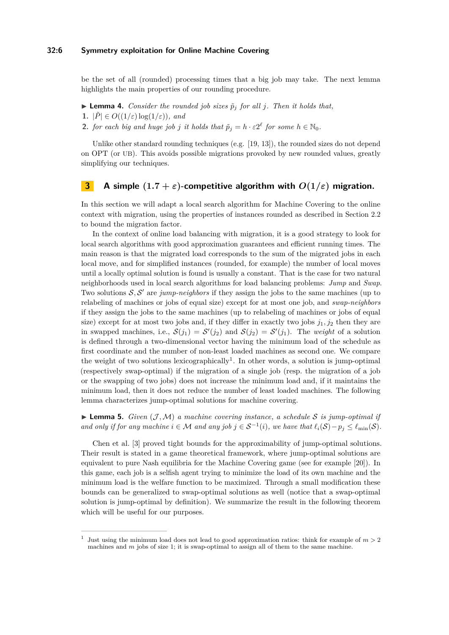### **32:6 Symmetry exploitation for Online Machine Covering**

be the set of all (rounded) processing times that a big job may take. The next lemma highlights the main properties of our rounding procedure.

- <span id="page-5-3"></span> $\blacktriangleright$  **Lemma 4.** *Consider the rounded job sizes*  $\tilde{p}_i$  *for all j. Then it holds that,*
- **1.**  $|\tilde{P}| \in O((1/\varepsilon) \log(1/\varepsilon))$ *, and*
- **2.** *for each big and huge job j it holds that*  $\tilde{p}_j = h \cdot \varepsilon 2^{\ell}$  *for some*  $h \in \mathbb{N}_0$ *.*

Unlike other standard rounding techniques (e.g. [\[19,](#page-12-8) [13\]](#page-12-17)), the rounded sizes do not depend on OPT (or UB). This avoids possible migrations provoked by new rounded values, greatly simplifying our techniques.

## <span id="page-5-2"></span>**3 A** simple  $(1.7 + \varepsilon)$ -competitive algorithm with  $O(1/\varepsilon)$  migration.

In this section we will adapt a local search algorithm for Machine Covering to the online context with migration, using the properties of instances rounded as described in Section [2.2](#page-4-0) to bound the migration factor.

In the context of online load balancing with migration, it is a good strategy to look for local search algorithms with good approximation guarantees and efficient running times. The main reason is that the migrated load corresponds to the sum of the migrated jobs in each local move, and for simplified instances (rounded, for example) the number of local moves until a locally optimal solution is found is usually a constant. That is the case for two natural neighborhoods used in local search algorithms for load balancing problems: *Jump* and *Swap*. Two solutions  $S, S'$  are *jump-neighbors* if they assign the jobs to the same machines (up to relabeling of machines or jobs of equal size) except for at most one job, and *swap-neighbors* if they assign the jobs to the same machines (up to relabeling of machines or jobs of equal size) except for at most two jobs and, if they differ in exactly two jobs  $j_1, j_2$  then they are in swapped machines, i.e.,  $S(j_1) = S'(j_2)$  and  $S(j_2) = S'(j_1)$ . The *weight* of a solution is defined through a two-dimensional vector having the minimum load of the schedule as first coordinate and the number of non-least loaded machines as second one. We compare the weight of two solutions lexicographically<sup>[1](#page-5-0)</sup>. In other words, a solution is jump-optimal (respectively swap-optimal) if the migration of a single job (resp. the migration of a job or the swapping of two jobs) does not increase the minimum load and, if it maintains the minimum load, then it does not reduce the number of least loaded machines. The following lemma characterizes jump-optimal solutions for machine covering.

<span id="page-5-1"></span> $\blacktriangleright$  **Lemma 5.** *Given* (*J*, *M*) *a* machine covering instance, a schedule *S* is jump-optimal if *and only if for any machine*  $i \in \mathcal{M}$  *and any job*  $j \in S^{-1}(i)$ *, we have that*  $\ell_i(S) - p_j \leq \ell_{\min}(S)$ *.* 

Chen et al. [\[3\]](#page-12-16) proved tight bounds for the approximability of jump-optimal solutions. Their result is stated in a game theoretical framework, where jump-optimal solutions are equivalent to pure Nash equilibria for the Machine Covering game (see for example [\[20\]](#page-13-2)). In this game, each job is a selfish agent trying to minimize the load of its own machine and the minimum load is the welfare function to be maximized. Through a small modification these bounds can be generalized to swap-optimal solutions as well (notice that a swap-optimal solution is jump-optimal by definition). We summarize the result in the following theorem which will be useful for our purposes.

<span id="page-5-0"></span><sup>1</sup> Just using the minimum load does not lead to good approximation ratios: think for example of  $m > 2$ machines and *m* jobs of size 1; it is swap-optimal to assign all of them to the same machine.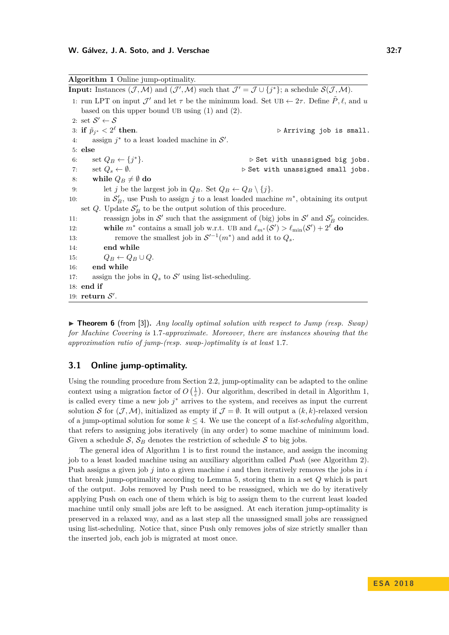<span id="page-6-0"></span>

|           | Algorithm 1 Online jump-optimality.                                                                                                                                                              |  |
|-----------|--------------------------------------------------------------------------------------------------------------------------------------------------------------------------------------------------|--|
|           | <b>Input:</b> Instances $(\mathcal{J}, \mathcal{M})$ and $(\mathcal{J}', \mathcal{M})$ such that $\mathcal{J}' = \mathcal{J} \cup \{j^*\};$ a schedule $\mathcal{S}(\mathcal{J}, \mathcal{M})$ . |  |
|           | 1: run LPT on input $\mathcal{J}'$ and let $\tau$ be the minimum load. Set UB $\leftarrow$ 2 $\tau$ . Define P, $\ell$ , and u                                                                   |  |
|           | based on this upper bound UB using $(1)$ and $(2)$ .                                                                                                                                             |  |
|           | 2: set $\mathcal{S}' \leftarrow \mathcal{S}$                                                                                                                                                     |  |
|           | 3: if $\tilde{p}_{i^*} < 2^{\ell}$ then.<br>$\triangleright$ Arriving job is small.                                                                                                              |  |
| 4:        | assign $j^*$ to a least loaded machine in $\mathcal{S}'$ .                                                                                                                                       |  |
| $5:$ else |                                                                                                                                                                                                  |  |
| 6:        | set $Q_B \leftarrow \{j^*\}.$<br>$\triangleright$ Set with unassigned big jobs.                                                                                                                  |  |
| 7:        | set $Q_s \leftarrow \emptyset$ .<br>$\triangleright$ Set with unassigned small jobs.                                                                                                             |  |
| 8:        | while $Q_B\neq\emptyset$ do                                                                                                                                                                      |  |
| 9:        | let j be the largest job in $Q_B$ . Set $Q_B \leftarrow Q_B \setminus \{j\}$ .                                                                                                                   |  |
| 10:       | in $\mathcal{S}'_B$ , use Push to assign j to a least loaded machine $m^*$ , obtaining its output                                                                                                |  |
|           | set Q. Update $S'_B$ to be the output solution of this procedure.                                                                                                                                |  |
| 11:       | reassign jobs in S' such that the assignment of (big) jobs in S' and $S'_B$ coincides.                                                                                                           |  |
| 12:       | while $m^*$ contains a small job w.r.t. UB and $\ell_{m^*}(S') > \ell_{\min}(S') + 2^{\ell}$ do                                                                                                  |  |
| 13:       | remove the smallest job in $S'^{-1}(m^*)$ and add it to $Q_s$ .                                                                                                                                  |  |
| 14:       | end while                                                                                                                                                                                        |  |
| 15:       | $Q_B \leftarrow Q_B \cup Q.$                                                                                                                                                                     |  |
| 16:       | end while                                                                                                                                                                                        |  |
| 17:       | assign the jobs in $Q_s$ to $\mathcal{S}'$ using list-scheduling.                                                                                                                                |  |
|           | $18:$ end if                                                                                                                                                                                     |  |
|           | 19: return $S'$ .                                                                                                                                                                                |  |

<span id="page-6-1"></span>▶ **Theorem 6** (from [\[3\]](#page-12-16)). *Any locally optimal solution with respect to Jump (resp. Swap) for Machine Covering is* 1*.*7*-approximate. Moreover, there are instances showing that the approximation ratio of jump-(resp. swap-)optimality is at least* 1*.*7*.*

## **3.1 Online jump-optimality.**

Using the rounding procedure from Section [2.2,](#page-4-0) jump-optimality can be adapted to the online context using a migration factor of  $O\left(\frac{1}{\varepsilon}\right)$ . Our algorithm, described in detail in Algorithm [1,](#page-6-0) is called every time a new job *j* <sup>∗</sup> arrives to the system, and receives as input the current solution S for  $(\mathcal{J},\mathcal{M})$ , initialized as empty if  $\mathcal{J} = \emptyset$ . It will output a  $(k, k)$ -relaxed version of a jump-optimal solution for some  $k \leq 4$ . We use the concept of a *list-scheduling* algorithm, that refers to assigning jobs iteratively (in any order) to some machine of minimum load. Given a schedule  $S$ ,  $S_B$  denotes the restriction of schedule S to big jobs.

The general idea of Algorithm [1](#page-6-0) is to first round the instance, and assign the incoming job to a least loaded machine using an auxiliary algorithm called *Push* (see Algorithm [2\)](#page-7-0). Push assigns a given job *j* into a given machine *i* and then iteratively removes the jobs in *i* that break jump-optimality according to Lemma [5,](#page-5-1) storing them in a set *Q* which is part of the output. Jobs removed by Push need to be reassigned, which we do by iteratively applying Push on each one of them which is big to assign them to the current least loaded machine until only small jobs are left to be assigned. At each iteration jump-optimality is preserved in a relaxed way, and as a last step all the unassigned small jobs are reassigned using list-scheduling. Notice that, since Push only removes jobs of size strictly smaller than the inserted job, each job is migrated at most once.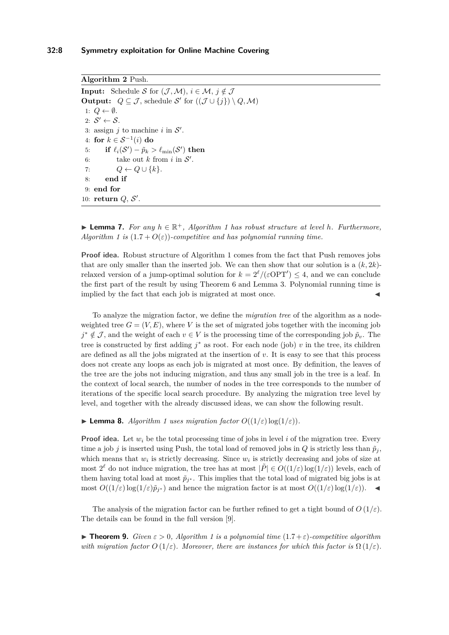<span id="page-7-0"></span>**Algorithm 2** Push. **Input:** Schedule S for  $(\mathcal{J}, \mathcal{M})$ ,  $i \in \mathcal{M}$ ,  $j \notin \mathcal{J}$ **Output:**  $Q \subseteq \mathcal{J}$ , schedule  $\mathcal{S}'$  for  $((\mathcal{J} \cup \{j\}) \setminus Q, \mathcal{M})$ 1:  $Q \leftarrow \emptyset$ . 2:  $S' \leftarrow S$ . 3: assign  $j$  to machine  $i$  in  $\mathcal{S}'$ . 4: **for** *k* ∈ S<sup>−</sup><sup>1</sup> (*i*) **do** 5: **if**  $\ell_i(\mathcal{S}') - \tilde{p}_k > \ell_{\min}(\mathcal{S}')$  then 6: take out *k* from *i* in  $S'$ . 7:  $Q \leftarrow Q \cup \{k\}.$ 8: **end if** 9: **end for** 10: **return**  $Q$ ,  $S'$ .

<span id="page-7-1"></span>▶ **Lemma 7.** For any  $h \in \mathbb{R}^+$ , Algorithm [1](#page-6-0) has robust structure at level *h*. Furthermore, *Algorithm* [1](#page-6-0) is  $(1.7 + O(\varepsilon))$ -competitive and has polynomial running time.

**Proof idea.** Robust structure of Algorithm [1](#page-6-0) comes from the fact that Push removes jobs that are only smaller than the inserted job. We can then show that our solution is a  $(k, 2k)$ relaxed version of a jump-optimal solution for  $k = 2^{\ell}/(\varepsilon OPT') \leq 4$ , and we can conclude the first part of the result by using Theorem [6](#page-6-1) and Lemma [3.](#page-4-3) Polynomial running time is implied by the fact that each job is migrated at most once.

To analyze the migration factor, we define the *migration tree* of the algorithm as a nodeweighted tree  $G = (V, E)$ , where V is the set of migrated jobs together with the incoming job  $j^* \notin \mathcal{J}$ , and the weight of each  $v \in V$  is the processing time of the corresponding job  $\tilde{p}_v$ . The tree is constructed by first adding *j* <sup>∗</sup> as root. For each node (job) *v* in the tree, its children are defined as all the jobs migrated at the insertion of *v*. It is easy to see that this process does not create any loops as each job is migrated at most once. By definition, the leaves of the tree are the jobs not inducing migration, and thus any small job in the tree is a leaf. In the context of local search, the number of nodes in the tree corresponds to the number of iterations of the specific local search procedure. By analyzing the migration tree level by level, and together with the already discussed ideas, we can show the following result.

 $\blacktriangleright$  **Lemma 8.** *Algorithm [1](#page-6-0) uses migration factor*  $O((1/\varepsilon) \log(1/\varepsilon))$ *.* 

**Proof idea.** Let  $w_i$  be the total processing time of jobs in level *i* of the migration tree. Every time a job *j* is inserted using Push, the total load of removed jobs in *Q* is strictly less than  $\tilde{p}_i$ , which means that  $w_i$  is strictly decreasing. Since  $w_i$  is strictly decreasing and jobs of size at most  $2^{\ell}$  do not induce migration, the tree has at most  $|\tilde{P}| \in O((1/\varepsilon) \log(1/\varepsilon))$  levels, each of them having total load at most  $\tilde{p}_{j^*}$ . This implies that the total load of migrated big jobs is at most  $O((1/\varepsilon) \log(1/\varepsilon) \tilde{p}_{j^*})$  and hence the migration factor is at most  $O((1/\varepsilon) \log(1/\varepsilon))$ . ◀

The analysis of the migration factor can be further refined to get a tight bound of  $O(1/\varepsilon)$ . The details can be found in the full version [\[9\]](#page-12-0).

**Find [1](#page-6-0) Find 1** *Find*  $\infty$  *<i>Civen*  $\varepsilon > 0$ , Algorithm 1 is a polynomial time  $(1.7 + \varepsilon)$ -competitive algorithm *with migration factor*  $O(1/\varepsilon)$ *. Moreover, there are instances for which this factor is*  $\Omega(1/\varepsilon)$ *.*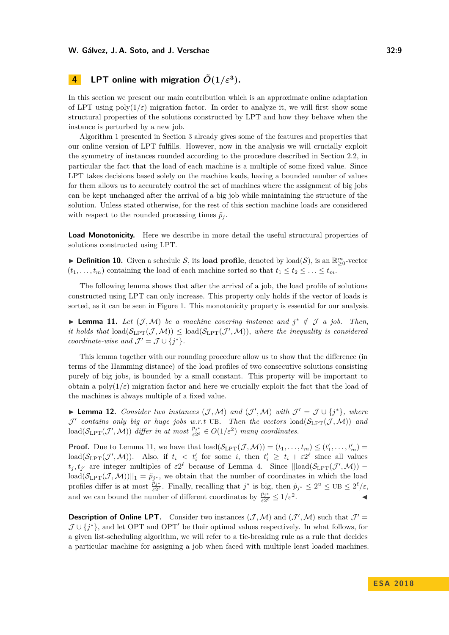## **4 LPT** online with migration  $\tilde{O}(1/\varepsilon^3)$ .

In this section we present our main contribution which is an approximate online adaptation of LPT using  $poly(1/\varepsilon)$  migration factor. In order to analyze it, we will first show some structural properties of the solutions constructed by LPT and how they behave when the instance is perturbed by a new job.

Algorithm [1](#page-6-0) presented in Section [3](#page-5-2) already gives some of the features and properties that our online version of LPT fulfills. However, now in the analysis we will crucially exploit the symmetry of instances rounded according to the procedure described in Section [2.2,](#page-4-0) in particular the fact that the load of each machine is a multiple of some fixed value. Since LPT takes decisions based solely on the machine loads, having a bounded number of values for them allows us to accurately control the set of machines where the assignment of big jobs can be kept unchanged after the arrival of a big job while maintaining the structure of the solution. Unless stated otherwise, for the rest of this section machine loads are considered with respect to the rounded processing times  $\tilde{p}_j$ .

**Load Monotonicity.** Here we describe in more detail the useful structural properties of solutions constructed using LPT.

**► Definition 10.** Given a schedule S, its **load profile**, denoted by  $\text{load}(S)$ , is an  $\mathbb{R}_{\geq 0}^m$ -vector  $(t_1, \ldots, t_m)$  containing the load of each machine sorted so that  $t_1 \le t_2 \le \ldots \le t_m$ .

The following lemma shows that after the arrival of a job, the load profile of solutions constructed using LPT can only increase. This property only holds if the vector of loads is sorted, as it can be seen in Figure [1.](#page-2-0) This monotonicity property is essential for our analysis.

<span id="page-8-0"></span>► Lemma 11. Let  $(\mathcal{J}, \mathcal{M})$  be a machine covering instance and  $j^* \notin \mathcal{J}$  a job. Then, *it holds that*  $\text{load}(\mathcal{S}_{\text{LPT}}(\mathcal{J}, \mathcal{M})) \leq \text{load}(\mathcal{S}_{\text{LPT}}(\mathcal{J}', \mathcal{M}))$ *, where the inequality is considered coordinate-wise and*  $\mathcal{J}' = \mathcal{J} \cup \{j^*\}.$ 

This lemma together with our rounding procedure allow us to show that the difference (in terms of the Hamming distance) of the load profiles of two consecutive solutions consisting purely of big jobs, is bounded by a small constant. This property will be important to obtain a poly $(1/\varepsilon)$  migration factor and here we crucially exploit the fact that the load of the machines is always multiple of a fixed value.

<span id="page-8-1"></span>▶ **Lemma 12.** *Consider two instances*  $(\mathcal{J}, \mathcal{M})$  *and*  $(\mathcal{J}', \mathcal{M})$  *with*  $\mathcal{J}' = \mathcal{J} \cup \{j^*\}$ *, where*  $\mathcal{J}'$  contains only big or huge jobs w.r.t UB. Then the vectors  $\text{load}(\mathcal{S}_{\text{LPT}}(\mathcal{J},\mathcal{M}))$  and  $\text{load}(\mathcal{S}_{\text{LPT}}(\mathcal{J}', \mathcal{M}))$  *differ in at most*  $\frac{\tilde{p}_{j^*}}{\varepsilon 2^{\ell}} \in O(1/\varepsilon^2)$  *many coordinates.* 

**Proof.** Due to Lemma [11,](#page-8-0) we have that  $\text{load}(\mathcal{S}_{\text{LPT}}(\mathcal{J}, \mathcal{M})) = (t_1, \ldots, t_m) \leq (t'_1, \ldots, t'_m) =$  $\text{load}(\mathcal{S}_{\text{LPT}}(\mathcal{J}', \mathcal{M}))$ . Also, if  $t_i < t'_i$  for some *i*, then  $t'_i \geq t_i + \varepsilon 2^{\ell}$  since all values  $t_j, t_{j'}$  are integer multiples of  $\varepsilon 2^{\ell}$  because of Lemma [4.](#page-5-3) Since  $\|\text{load}(\mathcal{S}_{\text{LPT}}(\mathcal{J}',\mathcal{M})) \text{load}(\mathcal{S}_{\text{LPT}}(\mathcal{J},\mathcal{M}))||_1 = \tilde{p}_{j^*}$ , we obtain that the number of coordinates in which the load profiles differ is at most  $\frac{\tilde{p}_{j^*}}{\varepsilon^{2\ell}}$ . Finally, recalling that  $j^*$  is big, then  $\tilde{p}_{j^*} \leq 2^u \leq \text{UB} \leq 2^{\ell}/\varepsilon$ , and we can bound the number of different coordinates by  $\frac{\tilde{p}_{j^*}}{\varepsilon 2^{\ell}} \leq 1/\varepsilon^2$ . John J. J. J. J.

**Description of Online LPT.** Consider two instances  $(\mathcal{J}, \mathcal{M})$  and  $(\mathcal{J}', \mathcal{M})$  such that  $\mathcal{J}' =$  $\mathcal{J} \cup \{j^*\}$ , and let OPT and OPT<sup>'</sup> be their optimal values respectively. In what follows, for a given list-scheduling algorithm, we will refer to a tie-breaking rule as a rule that decides a particular machine for assigning a job when faced with multiple least loaded machines.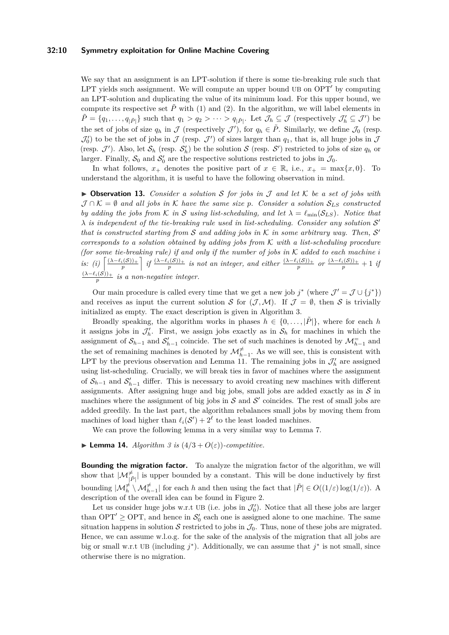#### **32:10 Symmetry exploitation for Online Machine Covering**

We say that an assignment is an LPT-solution if there is some tie-breaking rule such that LPT yields such assignment. We will compute an upper bound UB on OPT' by computing an LPT-solution and duplicating the value of its minimum load. For this upper bound, we compute its respective set  $\tilde{P}$  with [\(1\)](#page-4-1) and [\(2\)](#page-4-2). In the algorithm, we will label elements in  $\tilde{P} = \{q_1, \ldots, q_{|\tilde{P}|}\}\$  such that  $q_1 > q_2 > \cdots > q_{|\tilde{P}|}$ . Let  $\mathcal{J}_h \subseteq \mathcal{J}$  (respectively  $\mathcal{J}'_h \subseteq \mathcal{J}'$ ) be the set of jobs of size  $q_h$  in  $\mathcal J$  (respectively  $\mathcal J'$ ), for  $q_h \in \tilde P$ . Similarly, we define  $\mathcal J_0$  (resp.  $\mathcal{J}'_0$  to be the set of jobs in  $\mathcal J$  (resp.  $\mathcal J'$ ) of sizes larger than  $q_1$ , that is, all huge jobs in  $\mathcal J$ (resp.  $\mathcal{J}'$ ). Also, let  $\mathcal{S}_h$  (resp.  $\mathcal{S}'_h$ ) be the solution  $\mathcal{S}$  (resp.  $\mathcal{S}'$ ) restricted to jobs of size  $q_h$  or larger. Finally,  $S_0$  and  $S'_0$  are the respective solutions restricted to jobs in  $\mathcal{J}_0$ .

In what follows,  $x_+$  denotes the positive part of  $x \in \mathbb{R}$ , i.e.,  $x_+ = \max\{x, 0\}$ . To understand the algorithm, it is useful to have the following observation in mind.

 $\triangleright$  **Observation 13.** *Consider a solution* S *for jobs in* J *and let* K *be a set of jobs with*  $\mathcal{J} \cap \mathcal{K} = \emptyset$  and all jobs in  $\mathcal{K}$  have the same size p. Consider a solution  $\mathcal{S}_{LS}$  constructed *by adding the jobs from* K *in* S *using list-scheduling, and let*  $\lambda = \ell_{\min}(S_{LS})$ *. Notice that*  $\lambda$  *is independent of the tie-breaking rule used in list-scheduling. Consider any solution*  $S'$ that is constructed starting from  $S$  and adding jobs in  $K$  in some arbitrary way. Then,  $S'$ *corresponds to a solution obtained by adding jobs from* K *with a list-scheduling procedure (for some tie-breaking rule) if and only if the number of jobs in*  $K$  *added to each machine i* is: (i)  $\left[\frac{(\lambda-\ell_i(\mathcal{S}))_+}{p}\right]$  if  $\frac{(\lambda-\ell_i(\mathcal{S}))_+}{p}$  is not an integer, and either  $\frac{(\lambda-\ell_i(\mathcal{S}))_+}{p}$  or  $\frac{(\lambda-\ell_i(\mathcal{S}))_+}{p}+1$  if  $\frac{(\lambda - \ell_i(\mathcal{S}))_+}{p}$  *is a non-negative integer.* 

Our main procedure is called every time that we get a new job  $j^*$  (where  $\mathcal{J}' = \mathcal{J} \cup \{j^*\}\$ ) and receives as input the current solution S for  $(\mathcal{J},\mathcal{M})$ . If  $\mathcal{J} = \emptyset$ , then S is trivially initialized as empty. The exact description is given in Algorithm [3.](#page-10-0)

Broadly speaking, the algorithm works in phases  $h \in \{0, \ldots, |\tilde{P}|\}$ , where for each *h* it assigns jobs in  $\mathcal{J}'_h$ . First, we assign jobs exactly as in  $\mathcal{S}_h$  for machines in which the assignment of  $S_{h-1}$  and  $S'_{h-1}$  coincide. The set of such machines is denoted by  $\mathcal{M}^-_{h-1}$  and the set of remaining machines is denoted by  $\mathcal{M}_{h-1}^{\neq}$ . As we will see, this is consistent with LPT by the previous observation and Lemma [11.](#page-8-0) The remaining jobs in  $\mathcal{J}'_h$  are assigned using list-scheduling. Crucially, we will break ties in favor of machines where the assignment of  $S_{h-1}$  and  $S'_{h-1}$  differ. This is necessary to avoid creating new machines with different assignments. After assigning huge and big jobs, small jobs are added exactly as in  $S$  in machines where the assignment of big jobs in  $S$  and  $S'$  coincides. The rest of small jobs are added greedily. In the last part, the algorithm rebalances small jobs by moving them from machines of load higher than  $\ell_i(\mathcal{S}') + 2^{\ell}$  to the least loaded machines.

We can prove the following lemma in a very similar way to Lemma [7.](#page-7-1)

 $\blacktriangleright$  **Lemma 14.** *Algorithm [3](#page-10-0) is*  $(4/3 + O(\varepsilon))$ *-competitive.* 

**Bounding the migration factor.** To analyze the migration factor of the algorithm, we will show that  $|\mathcal{M}^{\neq}_{|\tilde{P}|}|$  is upper bounded by a constant. This will be done inductively by first bounding  $|\mathcal{M}_h^{\neq} \setminus \mathcal{M}_{h-1}^{\neq}|$  for each *h* and then using the fact that  $|\tilde{P}| \in O((1/\varepsilon) \log(1/\varepsilon))$ . A description of the overall idea can be found in Figure [2.](#page-11-0)

Let us consider huge jobs w.r.t UB (i.e. jobs in  $\mathcal{J}'_0$ ). Notice that all these jobs are larger than OPT'  $\geq$  OPT, and hence in  $S_0'$  each one is assigned alone to one machine. The same situation happens in solution S restricted to jobs in  $\mathcal{J}_0$ . Thus, none of these jobs are migrated. Hence, we can assume w.l.o.g. for the sake of the analysis of the migration that all jobs are big or small w.r.t UB (including  $j^*$ ). Additionally, we can assume that  $j^*$  is not small, since otherwise there is no migration.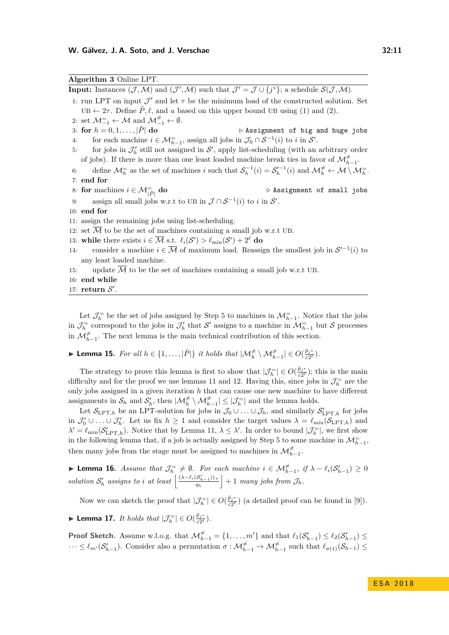<span id="page-10-0"></span>

| Algorithm 3 Online LPT.                                                                                                                                                                          |  |
|--------------------------------------------------------------------------------------------------------------------------------------------------------------------------------------------------|--|
| <b>Input:</b> Instances $(\mathcal{J}, \mathcal{M})$ and $(\mathcal{J}', \mathcal{M})$ such that $\mathcal{J}' = \mathcal{J} \cup \{j^*\};$ a schedule $\mathcal{S}(\mathcal{J}, \mathcal{M})$ . |  |
| 1: run LPT on input $\mathcal{J}'$ and let $\tau$ be the minimum load of the constructed solution. Set                                                                                           |  |
| $UB \leftarrow 2\tau$ . Define $\tilde{P}, \ell$ , and u based on this upper bound UB using (1) and (2).                                                                                         |  |
| 2: set $\mathcal{M}_{-1}^{\pm} \leftarrow \mathcal{M}$ and $\mathcal{M}_{-1}^{\neq} \leftarrow \emptyset$ .                                                                                      |  |
| 3: for $h = 0, 1, ,  \hat{P} $ do<br>$\triangleright$ Assignment of big and huge jobs                                                                                                            |  |
| for each machine $i\in\mathcal{M}^{=}_{h-1},$ assign all jobs in $\mathcal{J}_h\cap\mathcal{S}^{-1}(i)$ to $i$ in $\mathcal{S}'.$<br>4:                                                          |  |
| for jobs in $\mathcal{J}'_h$ still not assigned in $\mathcal{S}'$ , apply list-scheduling (with an arbitrary order<br>5:                                                                         |  |
| of jobs). If there is more than one least loaded machine break ties in favor of $\mathcal{M}_{h-1}^{\neq}$ .                                                                                     |  |
| define $\mathcal{M}_h^=$ as the set of machines i such that $\mathcal{S}_h^{-1}(i) = \mathcal{S}_h'^{-1}(i)$ and $\mathcal{M}_h^{\neq} \leftarrow \mathcal{M} \setminus \mathcal{M}_h^=$ .<br>6: |  |
| $7:$ end for                                                                                                                                                                                     |  |
| 8: for machines $i \in \mathcal{M}_{ \tilde{P} }^{\equiv}$ do<br>$\triangleright$ Assignment of small jobs                                                                                       |  |
| assign all small jobs w.r.t to UB in $\mathcal{J} \cap \mathcal{S}^{-1}(i)$ to i in $\mathcal{S}'$ .<br>9:                                                                                       |  |
| $10:$ end for                                                                                                                                                                                    |  |
| 11: assign the remaining jobs using list-scheduling.                                                                                                                                             |  |
| 12: set $\overline{\mathcal{M}}$ to be the set of machines containing a small job w.r.t UB.                                                                                                      |  |
| 13: while there exists $i \in \overline{\mathcal{M}}$ s.t. $\ell_i(\mathcal{S}') > \ell_{\min}(\mathcal{S}') + 2^{\ell}$ do                                                                      |  |
| consider a machine $i \in \overline{\mathcal{M}}$ of maximum load. Reassign the smallest job in $\mathcal{S}'^{-1}(i)$ to<br>14:                                                                 |  |
| any least loaded machine.                                                                                                                                                                        |  |
| update $M$ to be the set of machines containing a small job w.r.t UB.<br>15:                                                                                                                     |  |
| 16: end while                                                                                                                                                                                    |  |
| 17: return $S'$ .                                                                                                                                                                                |  |

Let  $\mathcal{J}_h^=$  be the set of jobs assigned by Step [5](#page-10-0) to machines in  $\mathcal{M}_{h-1}^=$ . Notice that the jobs in  $\mathcal{J}_h^=$  correspond to the jobs in  $\mathcal{J}_h'$  that S' assigns to a machine in  $\mathcal{M}_{h-1}^=$  but S processes in  $\mathcal{M}_{h-1}^{\neq}$ . The next lemma is the main technical contribution of this section.

▶ Lemma 15. *For all*  $h \in \{1, ..., |\tilde{P}|\}$  *it holds that*  $|\mathcal{M}^{\neq}_h \setminus \mathcal{M}^{\neq}_{h-1}| \in O(\frac{\tilde{p}_{j^*}}{\varepsilon^{2^{\ell}}})$  $\frac{p_j}{\varepsilon 2^\ell}$ ).

The strategy to prove this lemma is first to show that  $|\mathcal{J}_h^{\pm}| \in O(\frac{\tilde{p}_{j^*}}{\varepsilon 2^{\ell}})$  $\frac{p_{j*}}{\varepsilon 2^{\ell}}$ ; this is the main difficulty and for the proof we use lemmas [11](#page-8-0) and [12.](#page-8-1) Having this, since jobs in  $\mathcal{J}_h^{\equiv}$  are the only jobs assigned in a given iteration *h* that can cause one new machine to have different assignments in  $S_h$  and  $S'_h$ , then  $|\mathcal{M}_h^{\neq} \setminus \mathcal{M}_{h-1}^{\neq}| \leq |\mathcal{J}_h^{\neq}|$  and the lemma holds.

Let  $\mathcal{S}_{\text{LPT},h}$  be an LPT-solution for jobs in  $\mathcal{J}_0 \cup \ldots \cup \mathcal{J}_h$ , and similarly  $\mathcal{S}'_{\text{LPT},h}$  for jobs in  $\mathcal{J}'_0 \cup \ldots \cup \mathcal{J}'_h$ . Let us fix  $h \geq 1$  and consider the target values  $\lambda = \ell_{\min}(\mathcal{S}_{\text{LPT},h})$  and  $\lambda' = \ell_{\min}(\mathcal{S}_{\text{LPT},h}^{\prime})$ . Notice that by Lemma [11,](#page-8-0)  $\lambda \leq \lambda'$ . In order to bound  $|\mathcal{J}_h^{\pm}|$ , we first show in the following lemma that, if a job is actually assigned by Step [5](#page-10-0) to some machine in  $\mathcal{M}^-_{h-1}$ , then many jobs from the stage must be assigned to machines in  $\mathcal{M}^{\neq}_{h-1}$ .

<span id="page-10-1"></span>**► Lemma 16.** *Assume that*  $\mathcal{J}_h^= \neq \emptyset$ . For each machine  $i \in \mathcal{M}_{h-1}^{\neq}$ , if  $\lambda - \ell_i(\mathcal{S}_{h-1}') \geq 0$ *solution*  $S'_h$  assigns to *i* at least  $\frac{( \lambda - \ell_i(S'_{h-1}))_+}{q_h}$  $\left| \frac{S'_{h-1}(\)}{q_h} \right|$  + 1 *many jobs from*  $\mathcal{J}_h$ *.* 

Now we can sketch the proof that  $|\mathcal{J}_h^{\pm}| \in O(\frac{\tilde{p}_j *}{\varepsilon 2^{\ell}})$  $\frac{p_j^*}{\varepsilon 2^{\ell}}$  (a detailed proof can be found in [\[9\]](#page-12-0)).

▶ Lemma 17. *It holds that*  $|\mathcal{J}_h^{=}|$   $\in O(\frac{\tilde{p}_j*}{\varepsilon^2})$  $\frac{p_j^*}{\varepsilon 2^\ell}$ ).

**Proof Sketch.** Assume w.l.o.g. that  $\mathcal{M}_{h-1}^{\neq} = \{1, \ldots, m'\}$  and that  $\ell_1(\mathcal{S}_{h-1}') \leq \ell_2(\mathcal{S}_{h-1}') \leq$  $\dots \leq \ell_{m'}(\mathcal{S}'_{h-1})$ . Consider also a permutation  $\sigma : \mathcal{M}^{\neq}_{h-1} \to \mathcal{M}^{\neq}_{h-1}$  such that  $\ell_{\sigma(1)}(\mathcal{S}_{h-1}) \leq$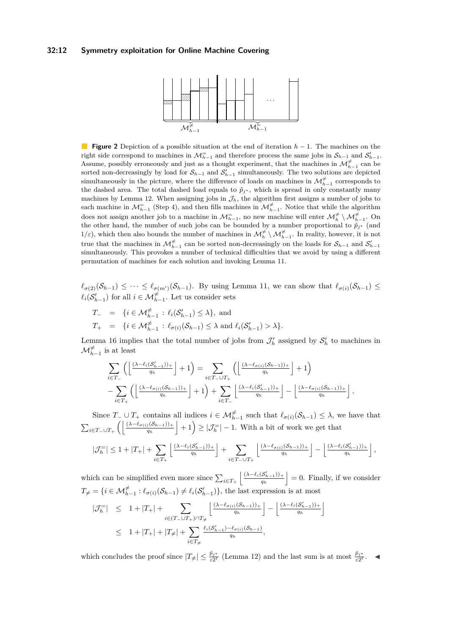#### <span id="page-11-0"></span>**32:12 Symmetry exploitation for Online Machine Covering**



**Figure 2** Depiction of a possible situation at the end of iteration *h* − 1. The machines on the right side correspond to machines in  $\mathcal{M}_{h-1}^=$  and therefore process the same jobs in  $\mathcal{S}_{h-1}$  and  $\mathcal{S}'_{h-1}$ . Assume, possibly erroneously and just as a thought experiment, that the machines in  $\mathcal{M}_{h-1}^{\neq}$  can be sorted non-decreasingly by load for  $S_{h-1}$  and  $S'_{h-1}$  simultaneously. The two solutions are depicted simultaneously in the picture, where the difference of loads on machines in  $\mathcal{M}^{\neq}_{h-1}$  corresponds to the dashed area. The total dashed load equals to  $\tilde{p}_{j*}$ , which is spread in only constantly many machines by Lemma [12.](#page-8-1) When assigning jobs in  $\mathcal{J}_h$ , the algorithm first assigns a number of jobs to each machine in  $\mathcal{M}_{h-1}^{\pm}$  (Step [4\)](#page-10-0), and then fills machines in  $\mathcal{M}_{h-1}^{\neq}$ . Notice that while the algorithm does not assign another job to a machine in  $\mathcal{M}^=_{h-1}$ , no new machine will enter  $\mathcal{M}^{\neq}_h \setminus \mathcal{M}^{\neq}_{h-1}$ . On the other hand, the number of such jobs can be bounded by a number proportional to  $\tilde{p}_{j*}$  (and  $1/\varepsilon$ ), which then also bounds the number of machines in  $\mathcal{M}^{\neq}_{h} \setminus \mathcal{M}^{\neq}_{h-1}$ . In reality, however, it is not true that the machines in  $\mathcal{M}_{h-1}^{\neq}$  can be sorted non-decreasingly on the loads for  $\mathcal{S}_{h-1}$  and  $\mathcal{S}'_{h-1}$ simultaneously. This provokes a number of technical difficulties that we avoid by using a different permutation of machines for each solution and invoking Lemma [11.](#page-8-0)

 $\ell_{\sigma(2)}(\mathcal{S}_{h-1}) \leq \cdots \leq \ell_{\sigma(m')}(\mathcal{S}_{h-1})$ . By using Lemma [11,](#page-8-0) we can show that  $\ell_{\sigma(i)}(\mathcal{S}_{h-1}) \leq$  $\ell_i(\mathcal{S}_{h-1}')$  for all  $i \in \mathcal{M}_{h-1}^{\neq}$ . Let us consider sets

$$
T_{-} = \{ i \in \mathcal{M}^{\neq}_{h-1} : \ell_i(\mathcal{S}'_{h-1}) \le \lambda \}, \text{ and}
$$
  
\n
$$
T_{+} = \{ i \in \mathcal{M}^{\neq}_{h-1} : \ell_{\sigma(i)}(\mathcal{S}_{h-1}) \le \lambda \text{ and } \ell_i(\mathcal{S}'_{h-1}) > \lambda \}.
$$

Lemma [16](#page-10-1) implies that the total number of jobs from  $\mathcal{J}'_h$  assigned by  $\mathcal{S}'_h$  to machines in  $\mathcal{M}^{\neq}_{h-1}$  is at least

$$
\sum_{i \in T_-} \left( \left\lfloor \frac{(\lambda - \ell_i(\mathcal{S}_{h-1}'))_+}{q_h} \right\rfloor + 1 \right) = \sum_{i \in T_- \cup T_+} \left( \left\lfloor \frac{(\lambda - \ell_{\sigma(i)}(\mathcal{S}_{h-1}))_+}{q_h} \right\rfloor + 1 \right) - \sum_{i \in T_+} \left( \left\lfloor \frac{(\lambda - \ell_{\sigma(i)}(\mathcal{S}_{h-1}))_+}{q_h} \right\rfloor + 1 \right) + \sum_{i \in T_-} \left\lfloor \frac{(\lambda - \ell_i(\mathcal{S}_{h-1}'))_+}{q_h} \right\rfloor - \left\lfloor \frac{(\lambda - \ell_{\sigma(i)}(\mathcal{S}_{h-1}))_+}{q_h} \right\rfloor.
$$

Since  $T_-\cup T_+$  contains all indices  $i \in \mathcal{M}_{h-1}^{\neq}$  such that  $\ell_{\sigma(i)}(\mathcal{S}_{h-1}) \leq \lambda$ , we have that  $\sum_{i\in T-\cup T_+}\left(\left|\frac{(\lambda-\ell_{\sigma(i)}(S_{h-1}))_+}{q_h}\right|+1\right)\geq |\mathcal{J}_h^-|-1$ . With a bit of work we get that

$$
\left|\mathcal{J}_h^= \right|\leq 1+|T_+|+\sum_{i\in T_+}\left\lfloor\tfrac{(\lambda-\ell_i(\mathcal{S}_{h-1}'))_+}{q_h}\right\rfloor+\sum_{i\in T_-\cup T_+}\left\lfloor\tfrac{(\lambda-\ell_{\sigma(i)}(\mathcal{S}_{h-1}))_+}{q_h}\right\rfloor-\left\lfloor\tfrac{(\lambda-\ell_i(\mathcal{S}_{h-1}'))_+}{q_h}\right\rfloor,
$$

which can be simplified even more since  $\sum_{i \in T_+} \left| \frac{(\lambda - \ell_i(S'_{h-1}))_+}{q_h} \right|$  $\left| \frac{S'_{h-1}(\cdot)}{q_h} \right| = 0$ . Finally, if we consider  $T_{\neq} = \{i \in \mathcal{M}_{h-1}^{\neq} : \ell_{\sigma(i)}(\mathcal{S}_{h-1}) \neq \ell_i(\mathcal{S}_{h-1}')\},\$  the last expression is at most

$$
|\mathcal{J}_h^=| \leq 1 + |T_+| + \sum_{i \in (T_- \cup T_+) \cap T_{\neq}} \left\lfloor \frac{(\lambda - \ell_{\sigma(i)}(S_{h-1}))_+}{q_h} \right\rfloor - \left\lfloor \frac{(\lambda - \ell_i(S'_{h-1}))_+}{q_h} \right\rfloor
$$
  

$$
\leq 1 + |T_+| + |T_{\neq}| + \sum_{i \in T_{\neq}} \frac{\ell_i(S'_{h-1}) - \ell_{\sigma(i)}(S_{h-1})}{q_h},
$$

which concludes the proof since  $|T_{\neq}| \leq \frac{\tilde{p}_{j^*}}{\varepsilon 2^{\ell}}$  (Lemma [12\)](#page-8-1) and the last sum is at most  $\frac{\tilde{p}_{j^*}}{\varepsilon 2^{\ell}}$ .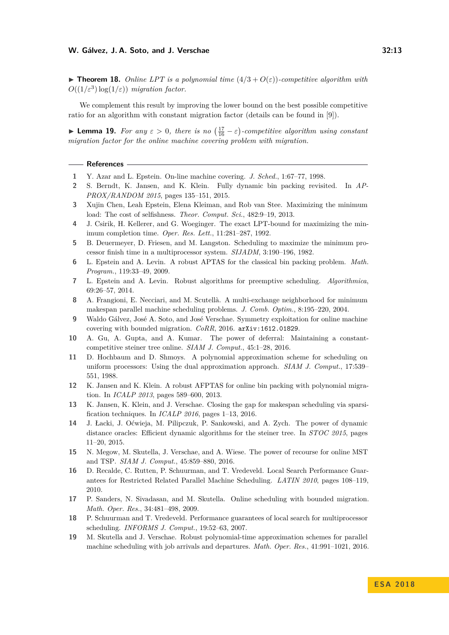$\triangleright$  **Theorem 18.** *Online LPT is a polynomial time*  $(4/3 + O(\varepsilon))$ *-competitive algorithm with*  $O((1/\varepsilon^3) \log(1/\varepsilon))$  *migration factor.* 

We complement this result by improving the lower bound on the best possible competitive ratio for an algorithm with constant migration factor (details can be found in [\[9\]](#page-12-0)).

**► Lemma 19.** For any  $\varepsilon > 0$ , there is no  $\left(\frac{17}{16} - \varepsilon\right)$ -competitive algorithm using constant *migration factor for the online machine covering problem with migration.*

#### **References**

- <span id="page-12-3"></span>**1** Y. Azar and L. Epstein. On-line machine covering. *J. Sched.*, 1:67–77, 1998.
- <span id="page-12-11"></span>**2** S. Berndt, K. Jansen, and K. Klein. Fully dynamic bin packing revisited. In *AP-PROX/RANDOM 2015*, pages 135–151, 2015.
- <span id="page-12-16"></span>**3** Xujin Chen, Leah Epstein, Elena Kleiman, and Rob van Stee. Maximizing the minimum load: The cost of selfishness. *Theor. Comput. Sci.*, 482:9–19, 2013.
- <span id="page-12-2"></span>**4** J. Csirik, H. Kellerer, and G. Woeginger. The exact LPT-bound for maximizing the minimum completion time. *Oper. Res. Lett.*, 11:281–287, 1992.
- <span id="page-12-1"></span>**5** B. Deuermeyer, D. Friesen, and M. Langston. Scheduling to maximize the minimum processor finish time in a multiprocessor system. *SIJADM*, 3:190–196, 1982.
- <span id="page-12-9"></span>**6** L. Epstein and A. Levin. A robust APTAS for the classical bin packing problem. *Math. Program.*, 119:33–49, 2009.
- <span id="page-12-12"></span>**7** L. Epstein and A. Levin. Robust algorithms for preemptive scheduling. *Algorithmica*, 69:26–57, 2014.
- <span id="page-12-15"></span>**8** A. Frangioni, E. Necciari, and M. Scutellà. A multi-exchange neighborhood for minimum makespan parallel machine scheduling problems. *J. Comb. Optim.*, 8:195–220, 2004.
- <span id="page-12-0"></span>**9** Waldo Gálvez, José A. Soto, and José Verschae. Symmetry exploitation for online machine covering with bounded migration. *CoRR*, 2016. [arXiv:1612.01829](http://arxiv.org/abs/1612.01829).
- <span id="page-12-6"></span>**10** A. Gu, A. Gupta, and A. Kumar. The power of deferral: Maintaining a constantcompetitive steiner tree online. *SIAM J. Comput.*, 45:1–28, 2016.
- <span id="page-12-18"></span>**11** D. Hochbaum and D. Shmoys. A polynomial approximation scheme for scheduling on uniform processors: Using the dual approximation approach. *SIAM J. Comput.*, 17:539– 551, 1988.
- <span id="page-12-10"></span>**12** K. Jansen and K. Klein. A robust AFPTAS for online bin packing with polynomial migration. In *ICALP 2013*, pages 589–600, 2013.
- <span id="page-12-17"></span>**13** K. Jansen, K. Klein, and J. Verschae. Closing the gap for makespan scheduling via sparsification techniques. In *ICALP 2016*, pages 1–13, 2016.
- <span id="page-12-7"></span>**14** J. Łacki, J. Oćwieja, M. Pilipczuk, P. Sankowski, and A. Zych. The power of dynamic distance oracles: Efficient dynamic algorithms for the steiner tree. In *STOC 2015*, pages 11–20, 2015.
- <span id="page-12-5"></span>**15** N. Megow, M. Skutella, J. Verschae, and A. Wiese. The power of recourse for online MST and TSP. *SIAM J. Comput.*, 45:859–880, 2016.
- <span id="page-12-14"></span>**16** D. Recalde, C. Rutten, P. Schuurman, and T. Vredeveld. Local Search Performance Guarantees for Restricted Related Parallel Machine Scheduling. *LATIN 2010*, pages 108–119, 2010.
- <span id="page-12-4"></span>**17** P. Sanders, N. Sivadasan, and M. Skutella. Online scheduling with bounded migration. *Math. Oper. Res.*, 34:481–498, 2009.
- <span id="page-12-13"></span>**18** P. Schuurman and T. Vredeveld. Performance guarantees of local search for multiprocessor scheduling. *INFORMS J. Comput.*, 19:52–63, 2007.
- <span id="page-12-8"></span>**19** M. Skutella and J. Verschae. Robust polynomial-time approximation schemes for parallel machine scheduling with job arrivals and departures. *Math. Oper. Res.*, 41:991–1021, 2016.